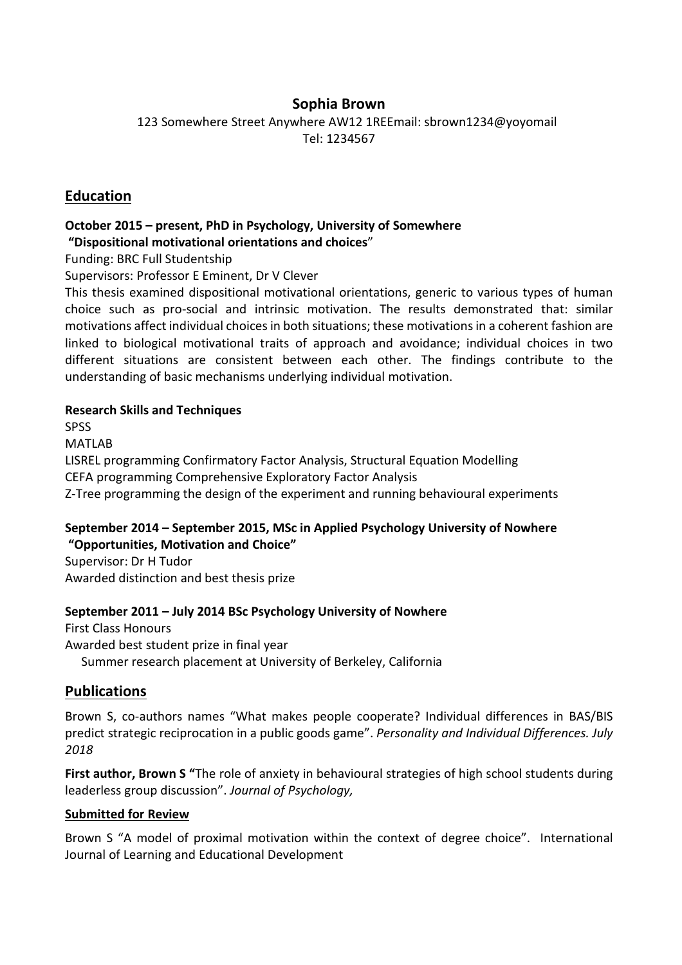# **Sophia Brown**

123 Somewhere Street Anywhere AW12 1REEmail: sbrown1234@yoyomail Tel: 1234567

## **Education**

#### **October 2015 – present, PhD in Psychology, University of Somewhere "Dispositional motivational orientations and choices**"

Funding: BRC Full Studentship

Supervisors: Professor E Eminent, Dr V Clever

This thesis examined dispositional motivational orientations, generic to various types of human choice such as pro-social and intrinsic motivation. The results demonstrated that: similar motivations affect individual choices in both situations; these motivations in a coherent fashion are linked to biological motivational traits of approach and avoidance; individual choices in two different situations are consistent between each other. The findings contribute to the understanding of basic mechanisms underlying individual motivation.

#### **Research Skills and Techniques**

**SPSS** 

MATLAB

LISREL programming Confirmatory Factor Analysis, Structural Equation Modelling CEFA programming Comprehensive Exploratory Factor Analysis Z-Tree programming the design of the experiment and running behavioural experiments

## **September 2014 – September 2015, MSc in Applied Psychology University of Nowhere "Opportunities, Motivation and Choice"**

Supervisor: Dr H Tudor Awarded distinction and best thesis prize

#### **September 2011 – July 2014 BSc Psychology University of Nowhere**

First Class Honours Awarded best student prize in final year Summer research placement at University of Berkeley, California

# **Publications**

Brown S, co-authors names "What makes people cooperate? Individual differences in BAS/BIS predict strategic reciprocation in a public goods game". *Personality and Individual Differences. July 2018*

**First author, Brown S "**The role of anxiety in behavioural strategies of high school students during leaderless group discussion". *Journal of Psychology,*

#### **Submitted for Review**

Brown S "A model of proximal motivation within the context of degree choice". International Journal of Learning and Educational Development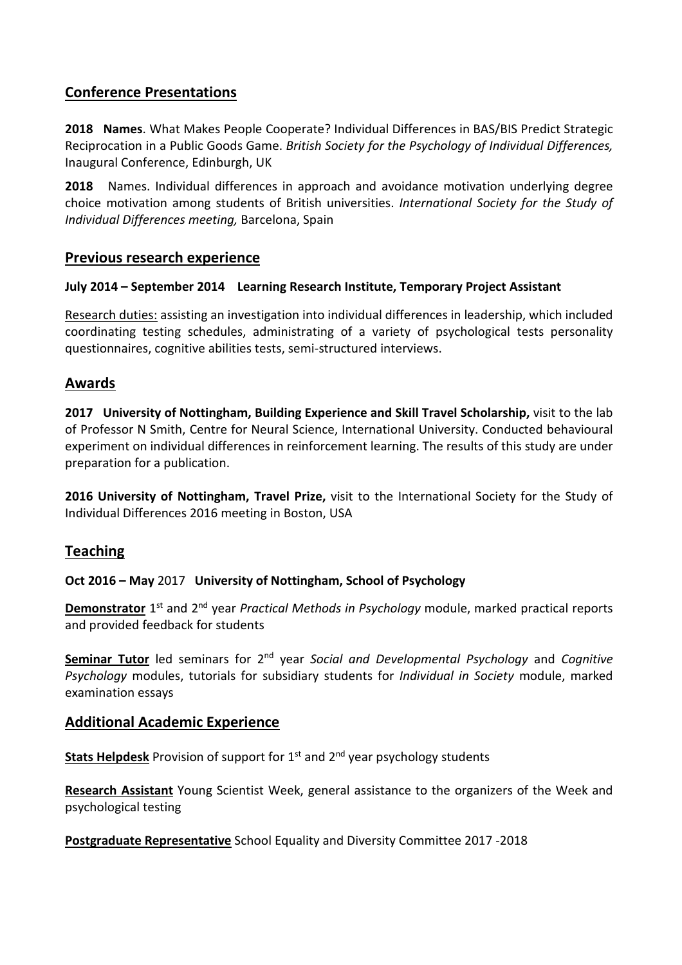# **Conference Presentations**

**2018 Names**. What Makes People Cooperate? Individual Differences in BAS/BIS Predict Strategic Reciprocation in a Public Goods Game. *British Society for the Psychology of Individual Differences,* Inaugural Conference, Edinburgh, UK

**2018** Names. Individual differences in approach and avoidance motivation underlying degree choice motivation among students of British universities. *International Society for the Study of Individual Differences meeting,* Barcelona, Spain

## **Previous research experience**

#### **July 2014 – September 2014 Learning Research Institute, Temporary Project Assistant**

Research duties: assisting an investigation into individual differences in leadership, which included coordinating testing schedules, administrating of a variety of psychological tests personality questionnaires, cognitive abilities tests, semi-structured interviews.

#### **Awards**

**2017 University of Nottingham, Building Experience and Skill Travel Scholarship,** visit to the lab of Professor N Smith, Centre for Neural Science, International University. Conducted behavioural experiment on individual differences in reinforcement learning. The results of this study are under preparation for a publication.

**2016 University of Nottingham, Travel Prize,** visit to the International Society for the Study of Individual Differences 2016 meeting in Boston, USA

# **Teaching**

#### **Oct 2016 – May** 2017 **University of Nottingham, School of Psychology**

**Demonstrator** 1<sup>st</sup> and 2<sup>nd</sup> year *Practical Methods in Psychology* module, marked practical reports and provided feedback for students

**Seminar Tutor** led seminars for 2nd year *Social and Developmental Psychology* and *Cognitive Psychology* modules, tutorials for subsidiary students for *Individual in Society* module, marked examination essays

#### **Additional Academic Experience**

**Stats Helpdesk** Provision of support for 1<sup>st</sup> and 2<sup>nd</sup> year psychology students

**Research Assistant** Young Scientist Week, general assistance to the organizers of the Week and psychological testing

**Postgraduate Representative** School Equality and Diversity Committee 2017 -2018